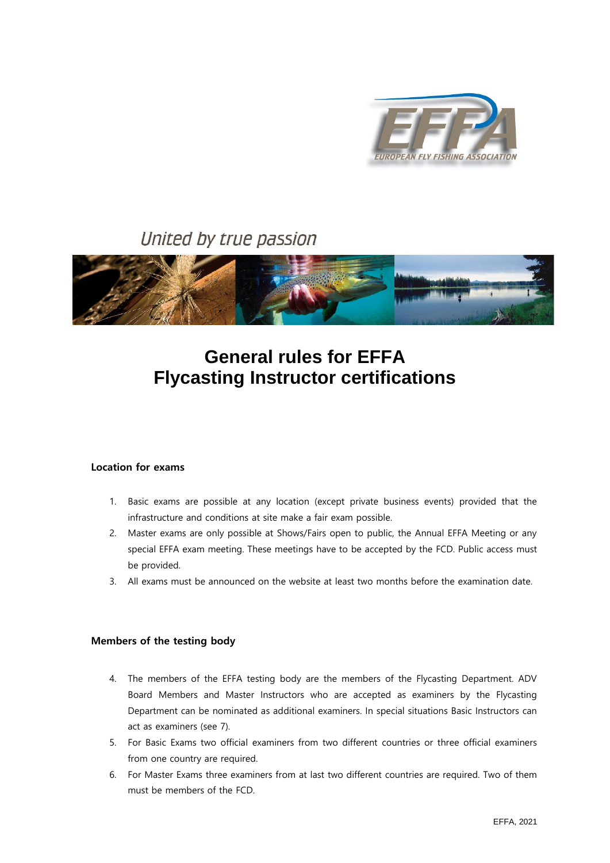

# United by true passion



# **General rules for EFFA Flycasting Instructor certifications**

## **Location for exams**

- 1. Basic exams are possible at any location (except private business events) provided that the infrastructure and conditions at site make a fair exam possible.
- 2. Master exams are only possible at Shows/Fairs open to public, the Annual EFFA Meeting or any special EFFA exam meeting. These meetings have to be accepted by the FCD. Public access must be provided.
- 3. All exams must be announced on the website at least two months before the examination date.

#### **Members of the testing body**

- 4. The members of the EFFA testing body are the members of the Flycasting Department. ADV Board Members and Master Instructors who are accepted as examiners by the Flycasting Department can be nominated as additional examiners. In special situations Basic Instructors can act as examiners (see 7).
- 5. For Basic Exams two official examiners from two different countries or three official examiners from one country are required.
- 6. For Master Exams three examiners from at last two different countries are required. Two of them must be members of the FCD.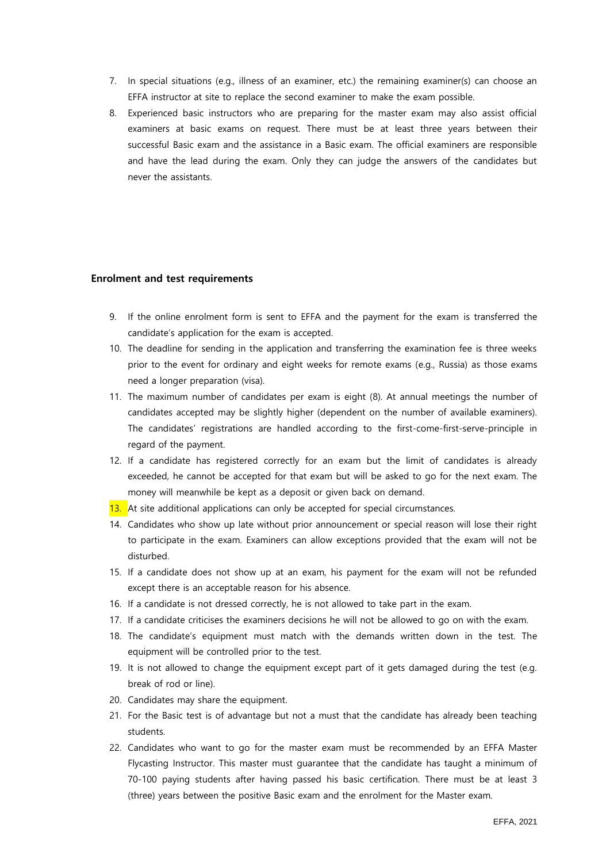- 7. In special situations (e.g., illness of an examiner, etc.) the remaining examiner(s) can choose an EFFA instructor at site to replace the second examiner to make the exam possible.
- 8. Experienced basic instructors who are preparing for the master exam may also assist official examiners at basic exams on request. There must be at least three years between their successful Basic exam and the assistance in a Basic exam. The official examiners are responsible and have the lead during the exam. Only they can judge the answers of the candidates but never the assistants.

#### **Enrolment and test requirements**

- 9. If the online enrolment form is sent to EFFA and the payment for the exam is transferred the candidate's application for the exam is accepted.
- 10. The deadline for sending in the application and transferring the examination fee is three weeks prior to the event for ordinary and eight weeks for remote exams (e.g., Russia) as those exams need a longer preparation (visa).
- 11. The maximum number of candidates per exam is eight (8). At annual meetings the number of candidates accepted may be slightly higher (dependent on the number of available examiners). The candidates' registrations are handled according to the first-come-first-serve-principle in regard of the payment.
- 12. If a candidate has registered correctly for an exam but the limit of candidates is already exceeded, he cannot be accepted for that exam but will be asked to go for the next exam. The money will meanwhile be kept as a deposit or given back on demand.
- 13. At site additional applications can only be accepted for special circumstances.
- 14. Candidates who show up late without prior announcement or special reason will lose their right to participate in the exam. Examiners can allow exceptions provided that the exam will not be disturbed.
- 15. If a candidate does not show up at an exam, his payment for the exam will not be refunded except there is an acceptable reason for his absence.
- 16. If a candidate is not dressed correctly, he is not allowed to take part in the exam.
- 17. If a candidate criticises the examiners decisions he will not be allowed to go on with the exam.
- 18. The candidate's equipment must match with the demands written down in the test. The equipment will be controlled prior to the test.
- 19. It is not allowed to change the equipment except part of it gets damaged during the test (e.g. break of rod or line).
- 20. Candidates may share the equipment.
- 21. For the Basic test is of advantage but not a must that the candidate has already been teaching students.
- 22. Candidates who want to go for the master exam must be recommended by an EFFA Master Flycasting Instructor. This master must guarantee that the candidate has taught a minimum of 70-100 paying students after having passed his basic certification. There must be at least 3 (three) years between the positive Basic exam and the enrolment for the Master exam.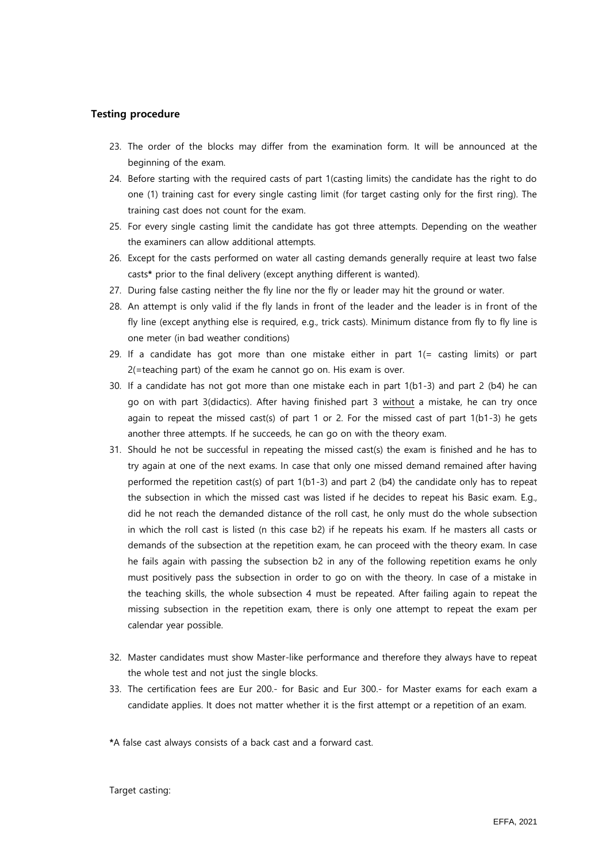### **Testing procedure**

- 23. The order of the blocks may differ from the examination form. It will be announced at the beginning of the exam.
- 24. Before starting with the required casts of part 1(casting limits) the candidate has the right to do one (1) training cast for every single casting limit (for target casting only for the first ring). The training cast does not count for the exam.
- 25. For every single casting limit the candidate has got three attempts. Depending on the weather the examiners can allow additional attempts.
- 26. Except for the casts performed on water all casting demands generally require at least two false casts**\*** prior to the final delivery (except anything different is wanted).
- 27. During false casting neither the fly line nor the fly or leader may hit the ground or water.
- 28. An attempt is only valid if the fly lands in front of the leader and the leader is in front of the fly line (except anything else is required, e.g., trick casts). Minimum distance from fly to fly line is one meter (in bad weather conditions)
- 29. If a candidate has got more than one mistake either in part  $1 (=$  casting limits) or part 2(=teaching part) of the exam he cannot go on. His exam is over.
- 30. If a candidate has not got more than one mistake each in part 1(b1-3) and part 2 (b4) he can go on with part 3(didactics). After having finished part 3 without a mistake, he can try once again to repeat the missed cast(s) of part 1 or 2. For the missed cast of part  $1(b1-3)$  he gets another three attempts. If he succeeds, he can go on with the theory exam.
- 31. Should he not be successful in repeating the missed cast(s) the exam is finished and he has to try again at one of the next exams. In case that only one missed demand remained after having performed the repetition cast(s) of part  $1(b1-3)$  and part 2 (b4) the candidate only has to repeat the subsection in which the missed cast was listed if he decides to repeat his Basic exam. E.g., did he not reach the demanded distance of the roll cast, he only must do the whole subsection in which the roll cast is listed (n this case b2) if he repeats his exam. If he masters all casts or demands of the subsection at the repetition exam, he can proceed with the theory exam. In case he fails again with passing the subsection b2 in any of the following repetition exams he only must positively pass the subsection in order to go on with the theory. In case of a mistake in the teaching skills, the whole subsection 4 must be repeated. After failing again to repeat the missing subsection in the repetition exam, there is only one attempt to repeat the exam per calendar year possible.
- 32. Master candidates must show Master-like performance and therefore they always have to repeat the whole test and not just the single blocks.
- 33. The certification fees are Eur 200.- for Basic and Eur 300.- for Master exams for each exam a candidate applies. It does not matter whether it is the first attempt or a repetition of an exam.

**\***A false cast always consists of a back cast and a forward cast.

Target casting: